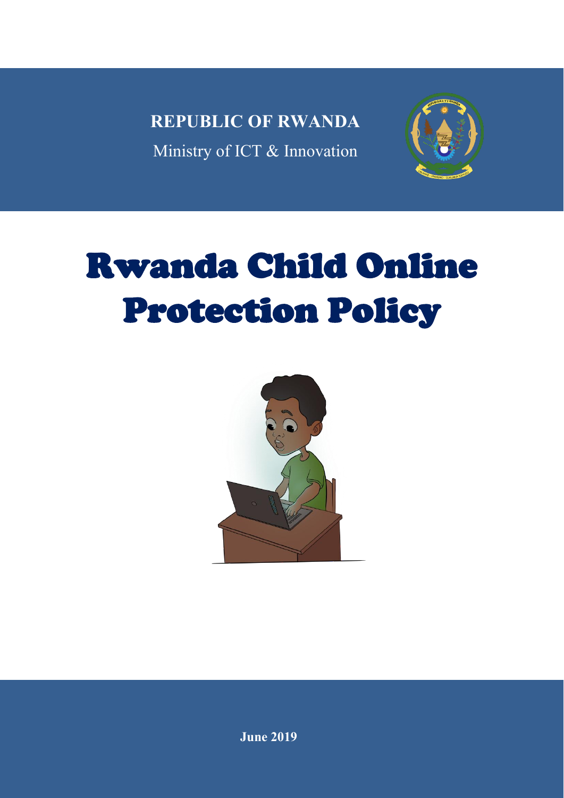**REPUBLIC OF RWANDA** Ministry of ICT & Innovation



# Rwanda Child Online Protection Policy

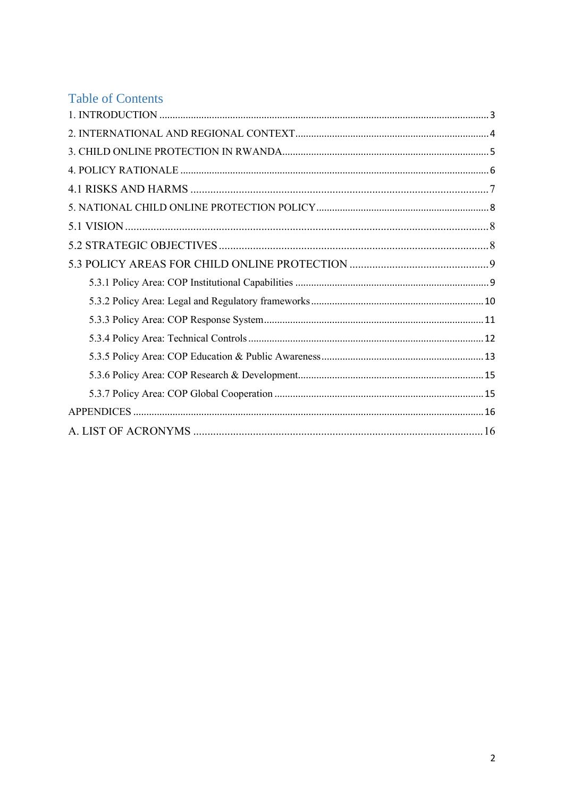## **Table of Contents**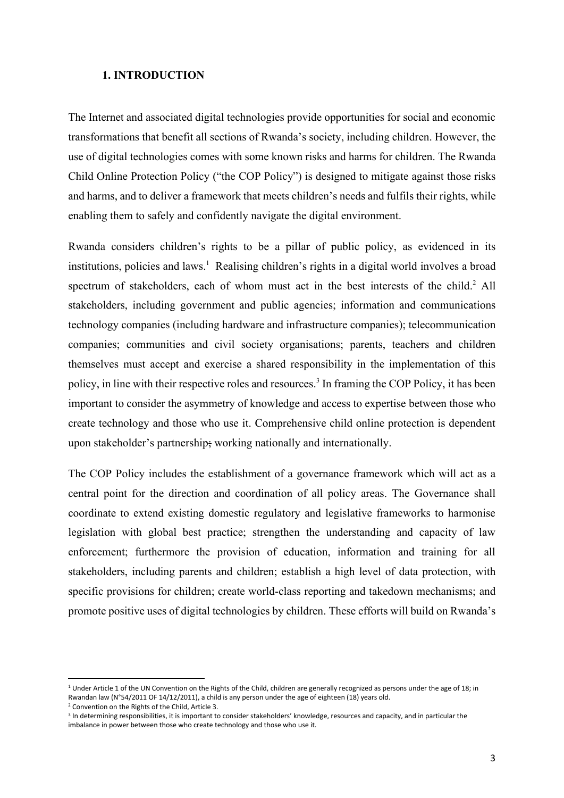#### <span id="page-2-0"></span>**1. INTRODUCTION**

The Internet and associated digital technologies provide opportunities for social and economic transformations that benefit all sections of Rwanda's society, including children. However, the use of digital technologies comes with some known risks and harms for children. The Rwanda Child Online Protection Policy ("the COP Policy") is designed to mitigate against those risks and harms, and to deliver a framework that meets children's needs and fulfils their rights, while enabling them to safely and confidently navigate the digital environment.

Rwanda considers children's rights to be a pillar of public policy, as evidenced in its institutions, policies and laws. <sup>1</sup> Realising children's rights in a digital world involves a broad spectrum of stakeholders, each of whom must act in the best interests of the child.<sup>2</sup> All stakeholders, including government and public agencies; information and communications technology companies (including hardware and infrastructure companies); telecommunication companies; communities and civil society organisations; parents, teachers and children themselves must accept and exercise a shared responsibility in the implementation of this policy, in line with their respective roles and resources. 3 In framing the COP Policy, it has been important to consider the asymmetry of knowledge and access to expertise between those who create technology and those who use it. Comprehensive child online protection is dependent upon stakeholder's partnership; working nationally and internationally.

The COP Policy includes the establishment of a governance framework which will act as a central point for the direction and coordination of all policy areas. The Governance shall coordinate to extend existing domestic regulatory and legislative frameworks to harmonise legislation with global best practice; strengthen the understanding and capacity of law enforcement; furthermore the provision of education, information and training for all stakeholders, including parents and children; establish a high level of data protection, with specific provisions for children; create world-class reporting and takedown mechanisms; and promote positive uses of digital technologies by children. These efforts will build on Rwanda's

**.** 

 $1$  Under Article 1 of the UN Convention on the Rights of the Child, children are generally recognized as persons under the age of 18; in Rwandan law (N°54/2011 OF 14/12/2011), a child is any person under the age of eighteen (18) years old.

<sup>2</sup> Convention on the Rights of the Child, Article 3.

<sup>&</sup>lt;sup>3</sup> In determining responsibilities, it is important to consider stakeholders' knowledge, resources and capacity, and in particular the imbalance in power between those who create technology and those who use it.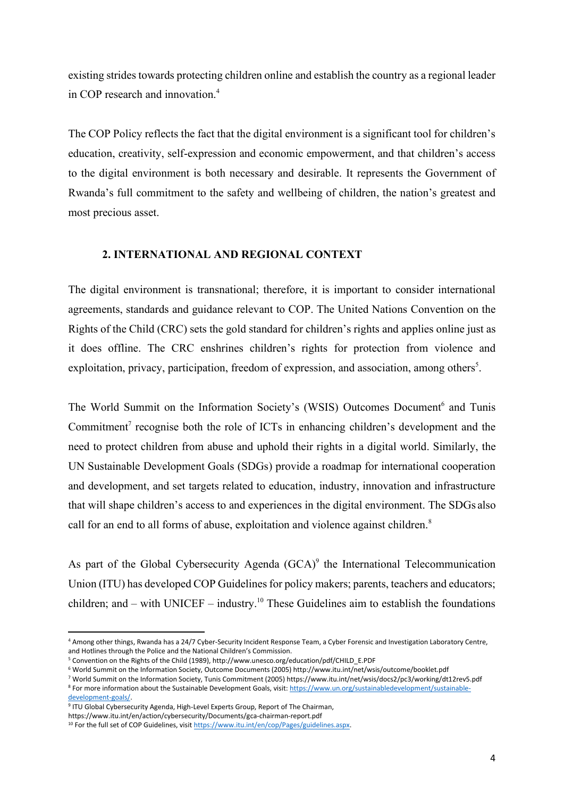existing strides towards protecting children online and establish the country as a regional leader in COP research and innovation $4$ 

The COP Policy reflects the fact that the digital environment is a significant tool for children's education, creativity, self-expression and economic empowerment, and that children's access to the digital environment is both necessary and desirable. It represents the Government of Rwanda's full commitment to the safety and wellbeing of children, the nation's greatest and most precious asset.

#### <span id="page-3-0"></span>**2. INTERNATIONAL AND REGIONAL CONTEXT**

The digital environment is transnational; therefore, it is important to consider international agreements, standards and guidance relevant to COP. The United Nations Convention on the Rights of the Child (CRC) sets the gold standard for children's rights and applies online just as it does offline. The CRC enshrines children's rights for protection from violence and exploitation, privacy, participation, freedom of expression, and association, among others<sup>5</sup>.

The World Summit on the Information Society's (WSIS) Outcomes Document<sup>6</sup> and Tunis Commitment<sup>7</sup> recognise both the role of ICTs in enhancing children's development and the need to protect children from abuse and uphold their rights in a digital world. Similarly, the UN Sustainable Development Goals (SDGs) provide a roadmap for international cooperation and development, and set targets related to education, industry, innovation and infrastructure that will shape children's access to and experiences in the digital environment. The SDGs also call for an end to all forms of abuse, exploitation and violence against children.<sup>8</sup>

As part of the Global Cybersecurity Agenda  $(GCA)^9$  the International Telecommunication Union (ITU) has developed COP Guidelines for policy makers; parents, teachers and educators; children; and – with UNICEF – industry.<sup>10</sup> These Guidelines aim to establish the foundations

**.** 

<sup>4</sup> Among other things, Rwanda has a 24/7 Cyber-Security Incident Response Team, a Cyber Forensic and Investigation Laboratory Centre, and Hotlines through the Police and the National Children's Commission.

<sup>5</sup> Convention on the Rights of the Child (1989), http://www.unesco.org/education/pdf/CHILD\_E.PDF

<sup>6</sup> World Summit on the Information Society, Outcome Documents (2005) http://www.itu.int/net/wsis/outcome/booklet.pdf

<sup>7</sup> World Summit on the Information Society, Tunis Commitment (2005) https://www.itu.int/net/wsis/docs2/pc3/working/dt12rev5.pdf <sup>8</sup> For more information about the Sustainable Development Goals, visit[: https://www.un.org/sustainabledevelopment/sustainable-](https://www.un.org/sustainabledevelopment/sustainable-development-goals/)

[development-goals/.](https://www.un.org/sustainabledevelopment/sustainable-development-goals/) <sup>9</sup> ITU Global Cybersecurity Agenda, High-Level Experts Group, Report of The Chairman,

https://www.itu.int/en/action/cybersecurity/Documents/gca-chairman-report.pdf

<sup>&</sup>lt;sup>10</sup> For the full set of COP Guidelines, visit https://www.itu.int/en/cop/Pages/guidelines.aspx.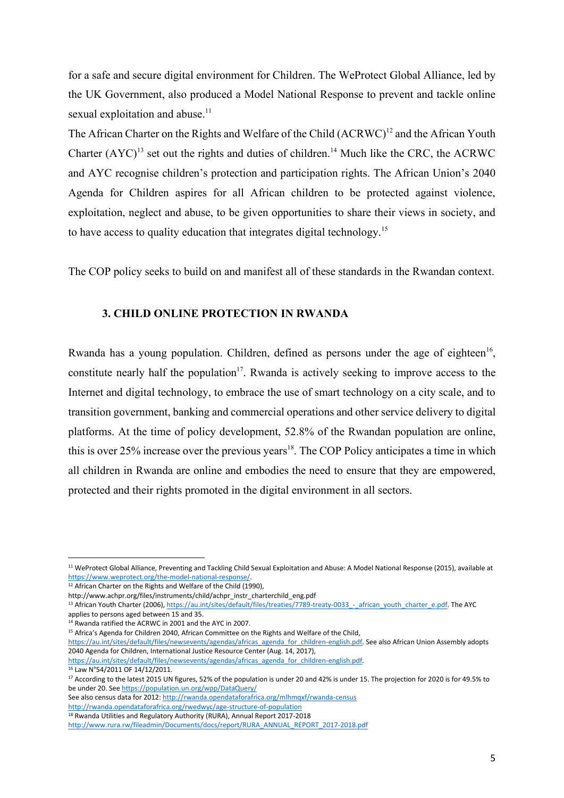for a safe and secure digital environment for Children. The WeProtect Global Alliance, led by the UK Government, also produced a Model National Response to prevent and tackle online sexual exploitation and abuse.<sup>11</sup>

The African Charter on the Rights and Welfare of the Child (ACRWC)<sup>12</sup> and the African Youth Charter  $(AYC)^{13}$  set out the rights and duties of children.<sup>14</sup> Much like the CRC, the ACRWC and AYC recognise children's protection and participation rights. The African Union's 2040 Agenda for Children aspires for all African children to be protected against violence, exploitation, neglect and abuse, to be given opportunities to share their views in society, and to have access to quality education that integrates digital technology.<sup>15</sup>

<span id="page-4-0"></span>The COP policy seeks to build on and manifest all of these standards in the Rwandan context.

#### **3. CHILD ONLINE PROTECTION IN RWANDA**

Rwanda has a young population. Children, defined as persons under the age of eighteen<sup>16</sup>, constitute nearly half the population<sup>17</sup>. Rwanda is actively seeking to improve access to the Internet and digital technology, to embrace the use of smart technology on a city scale, and to transition government, banking and commercial operations and other service delivery to digital platforms. At the time of policy development, 52.8% of the Rwandan population are online, this is over 25% increase over the previous years<sup>18</sup>. The COP Policy anticipates a time in which all children in Rwanda are online and embodies the need to ensure that they are empowered, protected and their rights promoted in the digital environment in all sectors.

<sup>12</sup> African Charter on the Rights and Welfare of the Child (1990),

<sup>14</sup> Rwanda ratified the ACRWC in 2001 and the AYC in 2007.

<sup>15</sup> Africa's Agenda for Children 2040, African Committee on the Rights and Welfare of the Child,

<sup>16</sup> Law N°54/2011 OF 14/12/2011.

1

See also census data for 2012[: http://rwanda.opendataforafrica.org/mlhmqxf/rwanda-census](http://rwanda.opendataforafrica.org/mlhmqxf/rwanda-census)

<http://rwanda.opendataforafrica.org/rwedwyc/age-structure-of-population>

<sup>11</sup> WeProtect Global Alliance, Preventing and Tackling Child Sexual Exploitation and Abuse: A Model National Response (2015), available at [https://www.weprotect.org/the-model-national-response/.](https://www.weprotect.org/the-model-national-response/)

http://www.achpr.org/files/instruments/child/achpr\_instr\_charterchild\_eng.pdf

<sup>&</sup>lt;sup>13</sup> African Youth Charter (2006), https://au.int/sites/default/files/treaties/7789-treaty-0033 - african\_youth\_charter\_e.pdf. The AYC applies to persons aged between 15 and 35.

[https://au.int/sites/default/files/newsevents/agendas/africas\\_agenda\\_for\\_children-english.pdf.](https://au.int/sites/default/files/newsevents/agendas/africas_agenda_for_children-english.pdf) See also African Union Assembly adopts 2040 Agenda for Children, International Justice Resource Center (Aug. 14, 2017),

[https://au.int/sites/default/files/newsevents/agendas/africas\\_agenda\\_for\\_children-english.pdf.](https://au.int/sites/default/files/newsevents/agendas/africas_agenda_for_children-english.pdf)

<sup>&</sup>lt;sup>17</sup> According to the latest 2015 UN figures, 52% of the population is under 20 and 42% is under 15. The projection for 2020 is for 49.5% to be under 20. Se[e https://population.un.org/wpp/DataQuery/](https://population.un.org/wpp/DataQuery/)

<sup>&</sup>lt;sup>18</sup> Rwanda Utilities and Regulatory Authority (RURA), Annual Report 2017-2018

[http://www.rura.rw/fileadmin/Documents/docs/report/RURA\\_ANNUAL\\_REPORT\\_2017-2018.pdf](http://www.rura.rw/fileadmin/Documents/docs/report/RURA_ANNUAL_REPORT_2017-2018.pdf)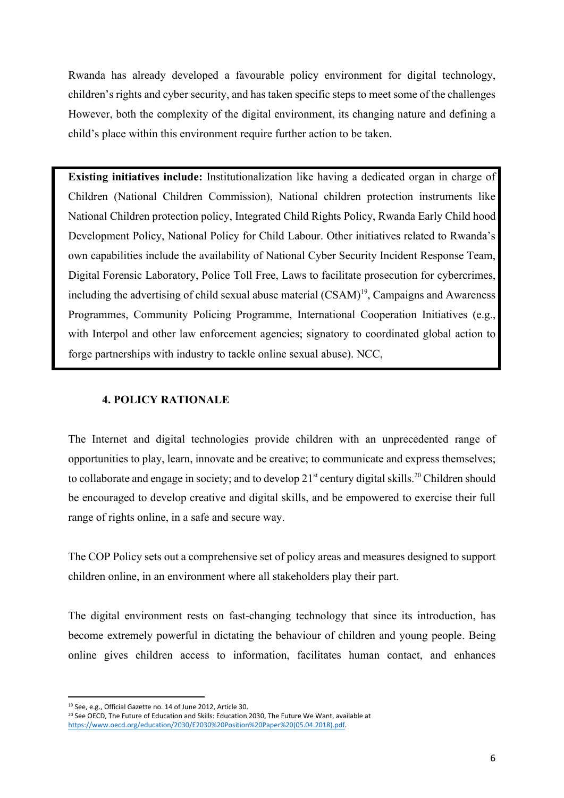Rwanda has already developed a favourable policy environment for digital technology, children's rights and cyber security, and has taken specific steps to meet some of the challenges However, both the complexity of the digital environment, its changing nature and defining a child's place within this environment require further action to be taken.

**Existing initiatives include:** Institutionalization like having a dedicated organ in charge of Children (National Children Commission), National children protection instruments like National Children protection policy, Integrated Child Rights Policy, Rwanda Early Child hood Development Policy, National Policy for Child Labour. Other initiatives related to Rwanda's own capabilities include the availability of National Cyber Security Incident Response Team, Digital Forensic Laboratory, Police Toll Free, Laws to facilitate prosecution for cybercrimes, including the advertising of child sexual abuse material (CSAM)<sup>19</sup>, Campaigns and Awareness Programmes, Community Policing Programme, International Cooperation Initiatives (e.g., with Interpol and other law enforcement agencies; signatory to coordinated global action to forge partnerships with industry to tackle online sexual abuse). NCC,

## <span id="page-5-0"></span>**4. POLICY RATIONALE**

The Internet and digital technologies provide children with an unprecedented range of opportunities to play, learn, innovate and be creative; to communicate and express themselves; to collaborate and engage in society; and to develop  $21<sup>st</sup>$  century digital skills.<sup>20</sup> Children should be encouraged to develop creative and digital skills, and be empowered to exercise their full range of rights online, in a safe and secure way.

The COP Policy sets out a comprehensive set of policy areas and measures designed to support children online, in an environment where all stakeholders play their part.

The digital environment rests on fast-changing technology that since its introduction, has become extremely powerful in dictating the behaviour of children and young people. Being online gives children access to information, facilitates human contact, and enhances

<sup>1</sup> <sup>19</sup> See, e.g., Official Gazette no. 14 of June 2012, Article 30.

<sup>&</sup>lt;sup>20</sup> See OECD, The Future of Education and Skills: Education 2030, The Future We Want, available at [https://www.oecd.org/education/2030/E2030%20Position%20Paper%20\(05.04.2018\).pdf.](https://www.oecd.org/education/2030/E2030%20Position%20Paper%20(05.04.2018).pdf)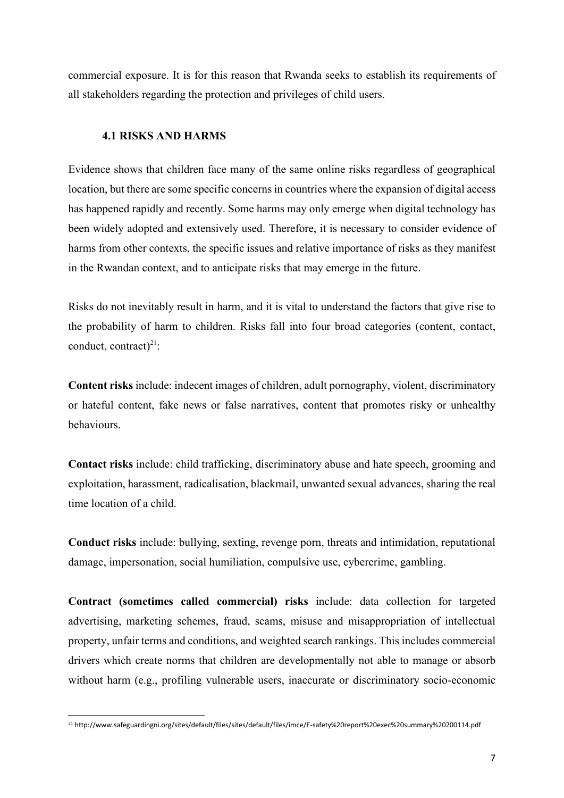commercial exposure. It is for this reason that Rwanda seeks to establish its requirements of all stakeholders regarding the protection and privileges of child users.

## **4.1 RISKS AND HARMS**

<span id="page-6-0"></span>Evidence shows that children face many of the same online risks regardless of geographical location, but there are some specific concerns in countries where the expansion of digital access has happened rapidly and recently. Some harms may only emerge when digital technology has been widely adopted and extensively used. Therefore, it is necessary to consider evidence of harms from other contexts, the specific issues and relative importance of risks as they manifest in the Rwandan context, and to anticipate risks that may emerge in the future.

Risks do not inevitably result in harm, and it is vital to understand the factors that give rise to the probability of harm to children. Risks fall into four broad categories (content, contact, conduct, contract)<sup>21</sup>:

**Content risks** include: indecent images of children, adult pornography, violent, discriminatory or hateful content, fake news or false narratives, content that promotes risky or unhealthy behaviours.

**Contact risks** include: child trafficking, discriminatory abuse and hate speech, grooming and exploitation, harassment, radicalisation, blackmail, unwanted sexual advances, sharing the real time location of a child.

**Conduct risks** include: bullying, sexting, revenge porn, threats and intimidation, reputational damage, impersonation, social humiliation, compulsive use, cybercrime, gambling.

**Contract (sometimes called commercial) risks** include: data collection for targeted advertising, marketing schemes, fraud, scams, misuse and misappropriation of intellectual property, unfair terms and conditions, and weighted search rankings. This includes commercial drivers which create norms that children are developmentally not able to manage or absorb without harm (e.g., profiling vulnerable users, inaccurate or discriminatory socio-economic

 $\overline{a}$ <sup>21</sup> http://www.safeguardingni.org/sites/default/files/sites/default/files/imce/E-safety%20report%20exec%20summary%20200114.pdf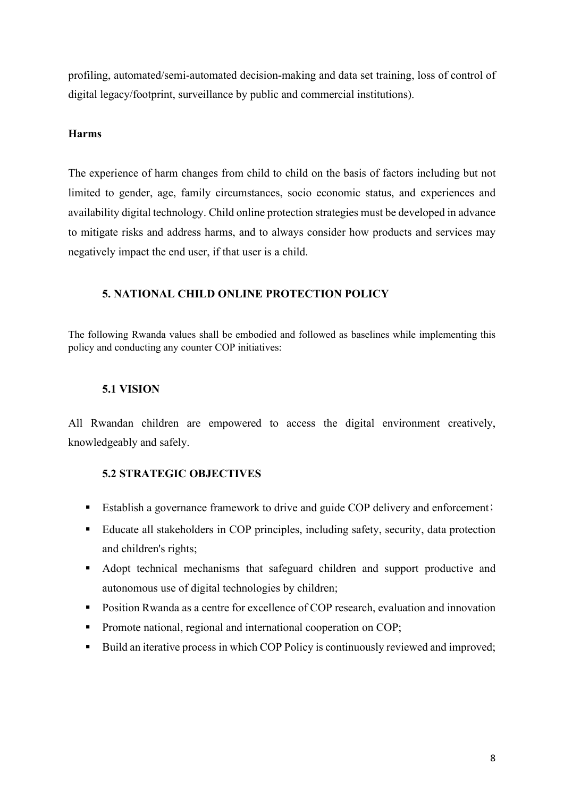profiling, automated/semi-automated decision-making and data set training, loss of control of digital legacy/footprint, surveillance by public and commercial institutions).

## **Harms**

The experience of harm changes from child to child on the basis of factors including but not limited to gender, age, family circumstances, socio economic status, and experiences and availability digital technology. Child online protection strategies must be developed in advance to mitigate risks and address harms, and to always consider how products and services may negatively impact the end user, if that user is a child.

## <span id="page-7-0"></span>**5. NATIONAL CHILD ONLINE PROTECTION POLICY**

The following Rwanda values shall be embodied and followed as baselines while implementing this policy and conducting any counter COP initiatives:

## **5.1 VISION**

<span id="page-7-1"></span>All Rwandan children are empowered to access the digital environment creatively, knowledgeably and safely.

## <span id="page-7-2"></span>**5.2 STRATEGIC OBJECTIVES**

- Establish a governance framework to drive and guide COP delivery and enforcement;
- Educate all stakeholders in COP principles, including safety, security, data protection and children's rights;
- Adopt technical mechanisms that safeguard children and support productive and autonomous use of digital technologies by children;
- **Position Rwanda as a centre for excellence of COP research, evaluation and innovation**
- **Promote national, regional and international cooperation on COP:**
- Build an iterative process in which COP Policy is continuously reviewed and improved;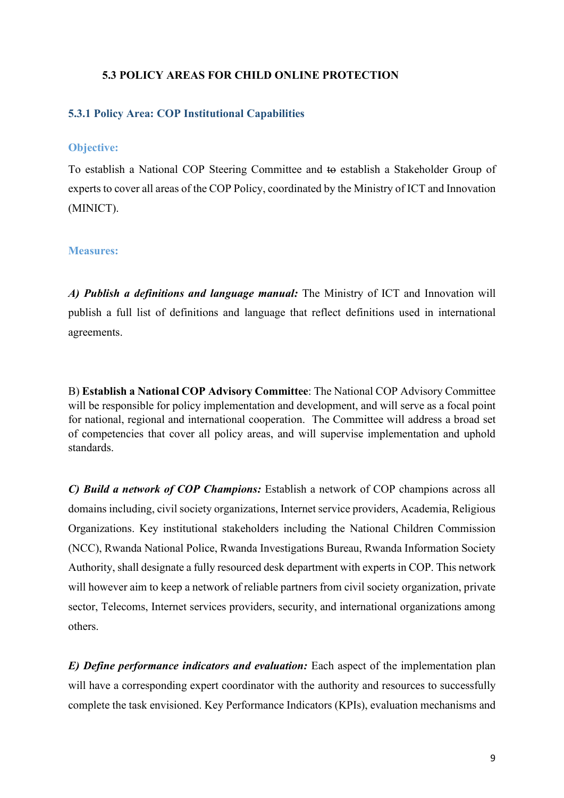#### <span id="page-8-0"></span>**5.3 POLICY AREAS FOR CHILD ONLINE PROTECTION**

#### <span id="page-8-1"></span>**5.3.1 Policy Area: COP Institutional Capabilities**

#### **Objective:**

To establish a National COP Steering Committee and to establish a Stakeholder Group of experts to cover all areas of the COP Policy, coordinated by the Ministry of ICT and Innovation (MINICT).

#### **Measures:**

*A) Publish a definitions and language manual:* The Ministry of ICT and Innovation will publish a full list of definitions and language that reflect definitions used in international agreements.

B) **Establish a National COP Advisory Committee**: The National COP Advisory Committee will be responsible for policy implementation and development, and will serve as a focal point for national, regional and international cooperation. The Committee will address a broad set of competencies that cover all policy areas, and will supervise implementation and uphold standards.

*C) Build a network of COP Champions:* Establish a network of COP champions across all domains including, civil society organizations, Internet service providers, Academia, Religious Organizations. Key institutional stakeholders including the National Children Commission (NCC), Rwanda National Police, Rwanda Investigations Bureau, Rwanda Information Society Authority, shall designate a fully resourced desk department with experts in COP. This network will however aim to keep a network of reliable partners from civil society organization, private sector, Telecoms, Internet services providers, security, and international organizations among others.

*E) Define performance indicators and evaluation:* Each aspect of the implementation plan will have a corresponding expert coordinator with the authority and resources to successfully complete the task envisioned. Key Performance Indicators (KPIs), evaluation mechanisms and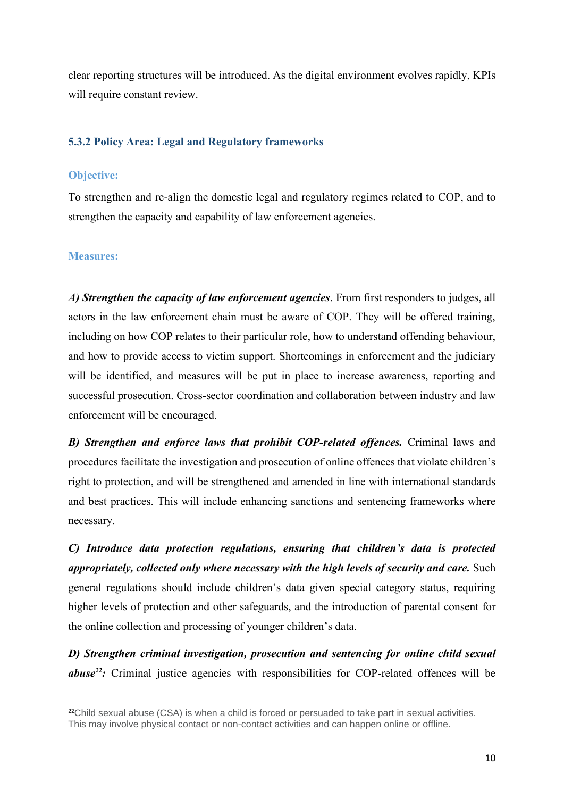clear reporting structures will be introduced. As the digital environment evolves rapidly, KPIs will require constant review.

#### <span id="page-9-0"></span>**5.3.2 Policy Area: Legal and Regulatory frameworks**

#### **Objective:**

To strengthen and re-align the domestic legal and regulatory regimes related to COP, and to strengthen the capacity and capability of law enforcement agencies.

#### **Measures:**

**.** 

*A) Strengthen the capacity of law enforcement agencies*. From first responders to judges, all actors in the law enforcement chain must be aware of COP. They will be offered training, including on how COP relates to their particular role, how to understand offending behaviour, and how to provide access to victim support. Shortcomings in enforcement and the judiciary will be identified, and measures will be put in place to increase awareness, reporting and successful prosecution. Cross-sector coordination and collaboration between industry and law enforcement will be encouraged.

*B) Strengthen and enforce laws that prohibit COP-related offences.* Criminal laws and procedures facilitate the investigation and prosecution of online offences that violate children's right to protection, and will be strengthened and amended in line with international standards and best practices. This will include enhancing sanctions and sentencing frameworks where necessary.

*C) Introduce data protection regulations, ensuring that children's data is protected appropriately, collected only where necessary with the high levels of security and care.* Such general regulations should include children's data given special category status, requiring higher levels of protection and other safeguards, and the introduction of parental consent for the online collection and processing of younger children's data.

*D) Strengthen criminal investigation, prosecution and sentencing for online child sexual abuse<sup>22</sup>:* Criminal justice agencies with responsibilities for COP-related offences will be

 $22$ Child sexual abuse (CSA) is when a child is forced or persuaded to take part in sexual activities. This may involve physical contact or non-contact activities and can happen online or offline.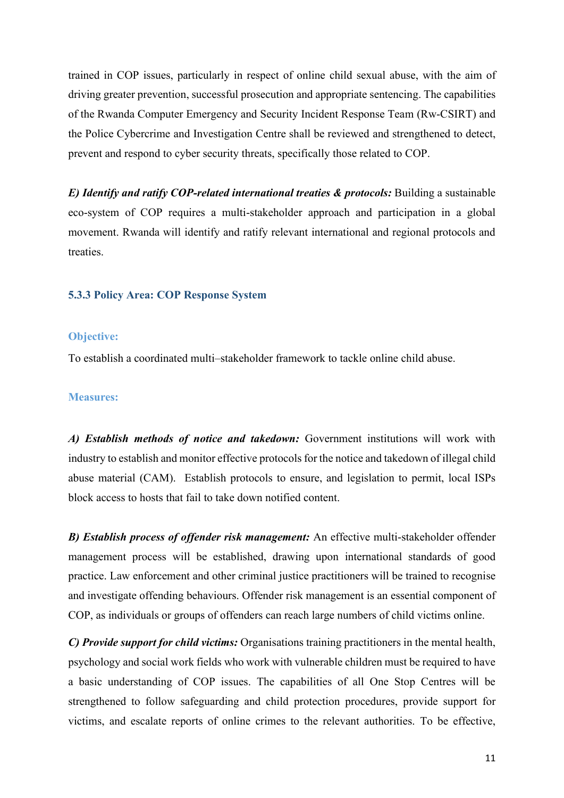trained in COP issues, particularly in respect of online child sexual abuse, with the aim of driving greater prevention, successful prosecution and appropriate sentencing. The capabilities of the Rwanda Computer Emergency and Security Incident Response Team (Rw-CSIRT) and the Police Cybercrime and Investigation Centre shall be reviewed and strengthened to detect, prevent and respond to cyber security threats, specifically those related to COP.

*E) Identify and ratify COP-related international treaties & protocols: Building a sustainable* eco-system of COP requires a multi-stakeholder approach and participation in a global movement. Rwanda will identify and ratify relevant international and regional protocols and treaties.

#### <span id="page-10-0"></span>**5.3.3 Policy Area: COP Response System**

#### **Objective:**

To establish a coordinated multi–stakeholder framework to tackle online child abuse.

#### **Measures:**

*A) Establish methods of notice and takedown:* Government institutions will work with industry to establish and monitor effective protocols for the notice and takedown of illegal child abuse material (CAM). Establish protocols to ensure, and legislation to permit, local ISPs block access to hosts that fail to take down notified content.

*B) Establish process of offender risk management:* An effective multi-stakeholder offender management process will be established, drawing upon international standards of good practice. Law enforcement and other criminal justice practitioners will be trained to recognise and investigate offending behaviours. Offender risk management is an essential component of COP, as individuals or groups of offenders can reach large numbers of child victims online.

*C) Provide support for child victims:* Organisations training practitioners in the mental health, psychology and social work fields who work with vulnerable children must be required to have a basic understanding of COP issues. The capabilities of all One Stop Centres will be strengthened to follow safeguarding and child protection procedures, provide support for victims, and escalate reports of online crimes to the relevant authorities. To be effective,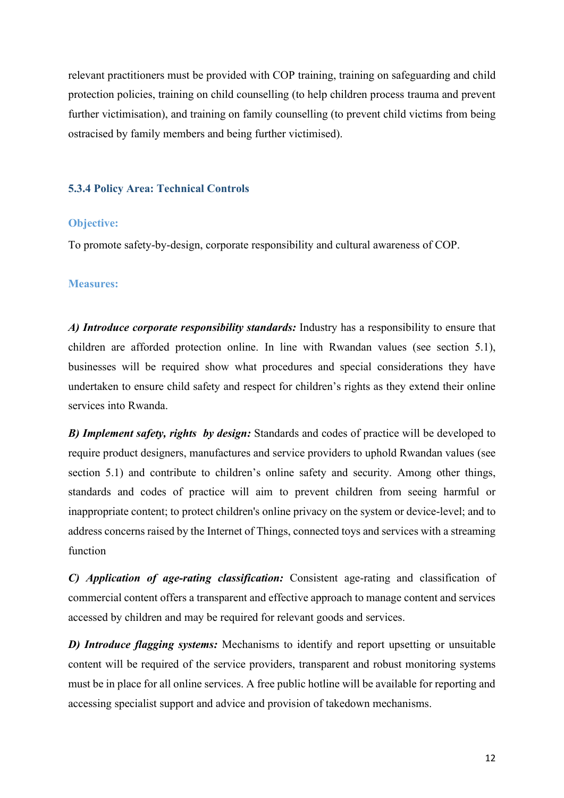relevant practitioners must be provided with COP training, training on safeguarding and child protection policies, training on child counselling (to help children process trauma and prevent further victimisation), and training on family counselling (to prevent child victims from being ostracised by family members and being further victimised).

#### <span id="page-11-0"></span>**5.3.4 Policy Area: Technical Controls**

#### **Objective:**

To promote safety-by-design, corporate responsibility and cultural awareness of COP.

#### **Measures:**

*A) Introduce corporate responsibility standards:* Industry has a responsibility to ensure that children are afforded protection online. In line with Rwandan values (see section 5.1), businesses will be required show what procedures and special considerations they have undertaken to ensure child safety and respect for children's rights as they extend their online services into Rwanda.

*B) Implement safety, rights by design:* Standards and codes of practice will be developed to require product designers, manufactures and service providers to uphold Rwandan values (see section 5.1) and contribute to children's online safety and security. Among other things, standards and codes of practice will aim to prevent children from seeing harmful or inappropriate content; to protect children's online privacy on the system or device-level; and to address concerns raised by the Internet of Things, connected toys and services with a streaming function

*C) Application of age-rating classification:* Consistent age-rating and classification of commercial content offers a transparent and effective approach to manage content and services accessed by children and may be required for relevant goods and services.

*D) Introduce flagging systems:* Mechanisms to identify and report upsetting or unsuitable content will be required of the service providers, transparent and robust monitoring systems must be in place for all online services. A free public hotline will be available for reporting and accessing specialist support and advice and provision of takedown mechanisms.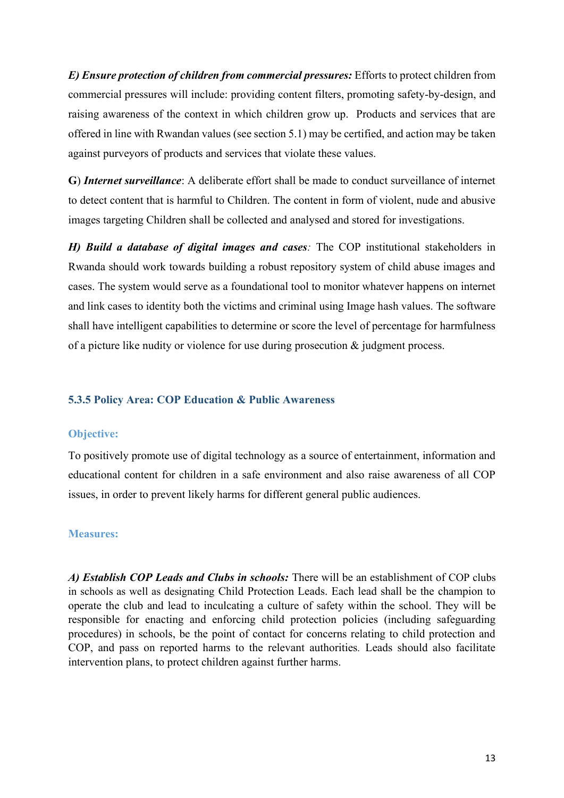*E) Ensure protection of children from commercial pressures:* Efforts to protect children from commercial pressures will include: providing content filters, promoting safety-by-design, and raising awareness of the context in which children grow up. Products and services that are offered in line with Rwandan values (see section 5.1) may be certified, and action may be taken against purveyors of products and services that violate these values.

**G**) *Internet surveillance*: A deliberate effort shall be made to conduct surveillance of internet to detect content that is harmful to Children. The content in form of violent, nude and abusive images targeting Children shall be collected and analysed and stored for investigations.

*H) Build a database of digital images and cases:* The COP institutional stakeholders in Rwanda should work towards building a robust repository system of child abuse images and cases. The system would serve as a foundational tool to monitor whatever happens on internet and link cases to identity both the victims and criminal using Image hash values. The software shall have intelligent capabilities to determine or score the level of percentage for harmfulness of a picture like nudity or violence for use during prosecution & judgment process.

## <span id="page-12-0"></span>**5.3.5 Policy Area: COP Education & Public Awareness**

#### **Objective:**

To positively promote use of digital technology as a source of entertainment, information and educational content for children in a safe environment and also raise awareness of all COP issues, in order to prevent likely harms for different general public audiences.

#### **Measures:**

*A) Establish COP Leads and Clubs in schools:* There will be an establishment of COP clubs in schools as well as designating Child Protection Leads. Each lead shall be the champion to operate the club and lead to inculcating a culture of safety within the school. They will be responsible for enacting and enforcing child protection policies (including safeguarding procedures) in schools, be the point of contact for concerns relating to child protection and COP, and pass on reported harms to the relevant authorities*.* Leads should also facilitate intervention plans, to protect children against further harms.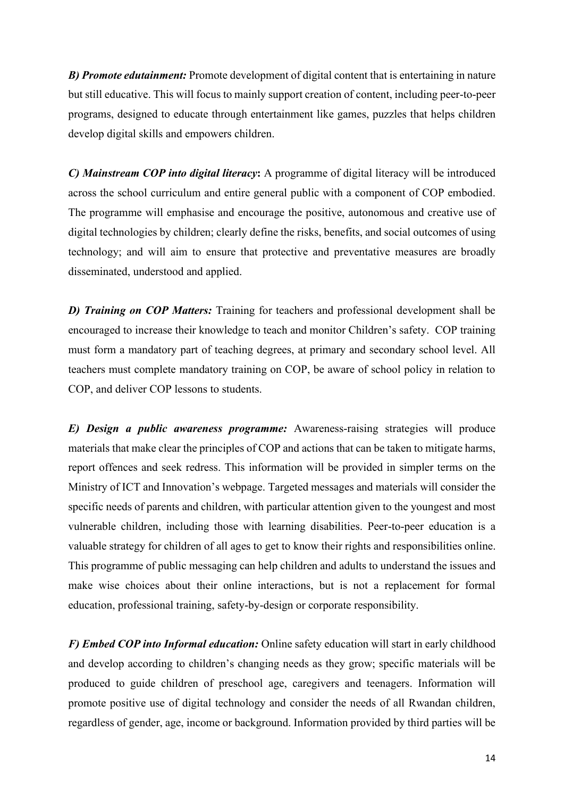*B) Promote edutainment:* Promote development of digital content that is entertaining in nature but still educative. This will focus to mainly support creation of content, including peer-to-peer programs, designed to educate through entertainment like games, puzzles that helps children develop digital skills and empowers children.

*C) Mainstream COP into digital literacy***:** A programme of digital literacy will be introduced across the school curriculum and entire general public with a component of COP embodied. The programme will emphasise and encourage the positive, autonomous and creative use of digital technologies by children; clearly define the risks, benefits, and social outcomes of using technology; and will aim to ensure that protective and preventative measures are broadly disseminated, understood and applied.

*D) Training on COP Matters:* Training for teachers and professional development shall be encouraged to increase their knowledge to teach and monitor Children's safety. COP training must form a mandatory part of teaching degrees, at primary and secondary school level. All teachers must complete mandatory training on COP, be aware of school policy in relation to COP, and deliver COP lessons to students.

*E) Design a public awareness programme:* Awareness-raising strategies will produce materials that make clear the principles of COP and actions that can be taken to mitigate harms, report offences and seek redress. This information will be provided in simpler terms on the Ministry of ICT and Innovation's webpage. Targeted messages and materials will consider the specific needs of parents and children, with particular attention given to the youngest and most vulnerable children, including those with learning disabilities. Peer-to-peer education is a valuable strategy for children of all ages to get to know their rights and responsibilities online. This programme of public messaging can help children and adults to understand the issues and make wise choices about their online interactions, but is not a replacement for formal education, professional training, safety-by-design or corporate responsibility.

*F) Embed COP into Informal education:* Online safety education will start in early childhood and develop according to children's changing needs as they grow; specific materials will be produced to guide children of preschool age, caregivers and teenagers. Information will promote positive use of digital technology and consider the needs of all Rwandan children, regardless of gender, age, income or background. Information provided by third parties will be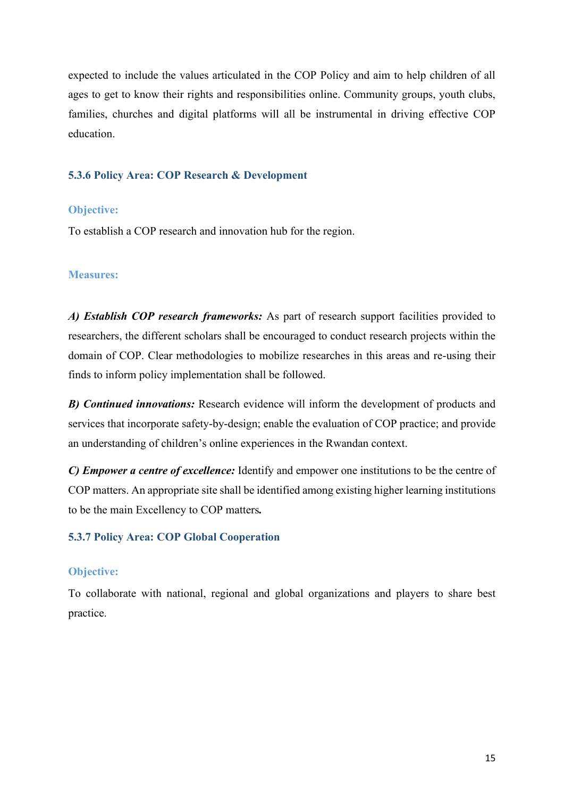expected to include the values articulated in the COP Policy and aim to help children of all ages to get to know their rights and responsibilities online. Community groups, youth clubs, families, churches and digital platforms will all be instrumental in driving effective COP education.

#### <span id="page-14-0"></span>**5.3.6 Policy Area: COP Research & Development**

#### **Objective:**

To establish a COP research and innovation hub for the region.

#### **Measures:**

*A) Establish COP research frameworks:* As part of research support facilities provided to researchers, the different scholars shall be encouraged to conduct research projects within the domain of COP. Clear methodologies to mobilize researches in this areas and re-using their finds to inform policy implementation shall be followed.

*B) Continued innovations:* Research evidence will inform the development of products and services that incorporate safety-by-design; enable the evaluation of COP practice; and provide an understanding of children's online experiences in the Rwandan context.

*C) Empower a centre of excellence:* Identify and empower one institutions to be the centre of COP matters. An appropriate site shall be identified among existing higher learning institutions to be the main Excellency to COP matters*.* 

#### <span id="page-14-1"></span>**5.3.7 Policy Area: COP Global Cooperation**

#### **Objective:**

To collaborate with national, regional and global organizations and players to share best practice.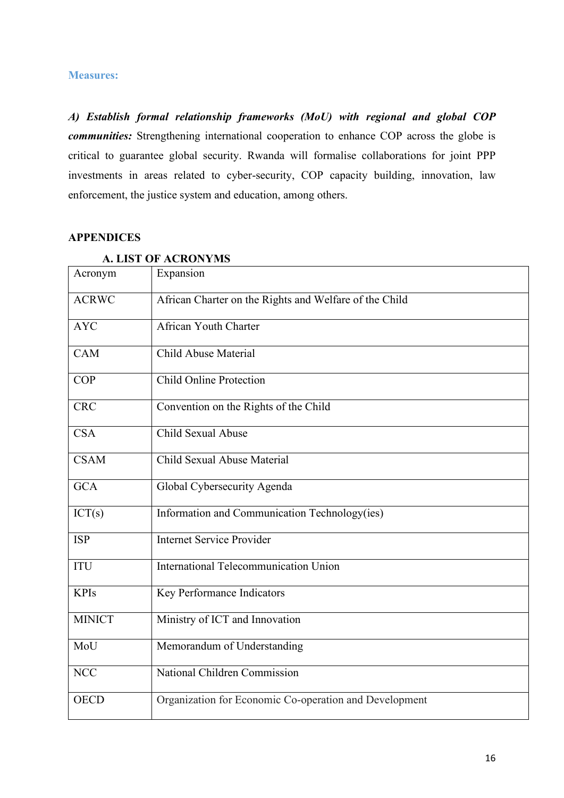#### **Measures:**

*A) Establish formal relationship frameworks (MoU) with regional and global COP communities:* Strengthening international cooperation to enhance COP across the globe is critical to guarantee global security. Rwanda will formalise collaborations for joint PPP investments in areas related to cyber-security, COP capacity building, innovation, law enforcement, the justice system and education, among others.

#### <span id="page-15-0"></span>**APPENDICES**

<span id="page-15-1"></span>

| Acronym       | Expansion                                              |
|---------------|--------------------------------------------------------|
| <b>ACRWC</b>  | African Charter on the Rights and Welfare of the Child |
| <b>AYC</b>    | <b>African Youth Charter</b>                           |
| <b>CAM</b>    | Child Abuse Material                                   |
| <b>COP</b>    | <b>Child Online Protection</b>                         |
| <b>CRC</b>    | Convention on the Rights of the Child                  |
| <b>CSA</b>    | Child Sexual Abuse                                     |
| <b>CSAM</b>   | Child Sexual Abuse Material                            |
| <b>GCA</b>    | Global Cybersecurity Agenda                            |
| ICT(s)        | Information and Communication Technology(ies)          |
| <b>ISP</b>    | <b>Internet Service Provider</b>                       |
| <b>ITU</b>    | International Telecommunication Union                  |
| <b>KPIs</b>   | Key Performance Indicators                             |
| <b>MINICT</b> | Ministry of ICT and Innovation                         |
| MoU           | Memorandum of Understanding                            |
| <b>NCC</b>    | National Children Commission                           |
| <b>OECD</b>   | Organization for Economic Co-operation and Development |

#### **A. LIST OF ACRONYMS**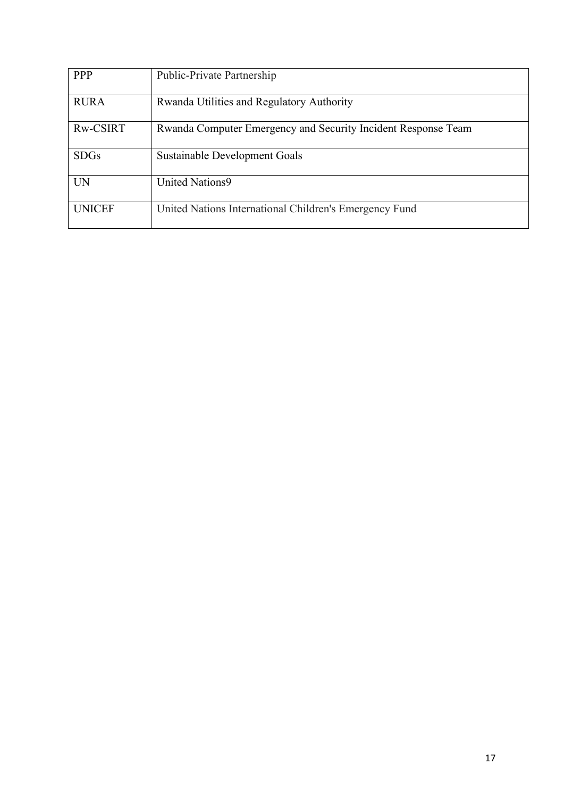| <b>PPP</b>    | Public-Private Partnership                                    |
|---------------|---------------------------------------------------------------|
| <b>RURA</b>   | Rwanda Utilities and Regulatory Authority                     |
| Rw-CSIRT      | Rwanda Computer Emergency and Security Incident Response Team |
| <b>SDGs</b>   | Sustainable Development Goals                                 |
| <b>UN</b>     | <b>United Nations9</b>                                        |
| <b>UNICEF</b> | United Nations International Children's Emergency Fund        |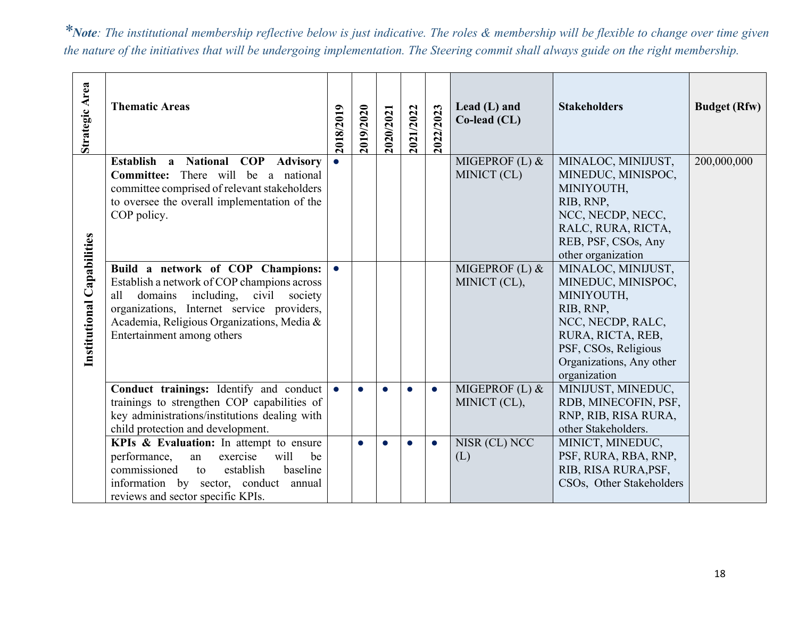*\*Note: The institutional membership reflective below is just indicative. The roles & membership will be flexible to change over time given the nature of the initiatives that will be undergoing implementation. The Steering commit shall always guide on the right membership.*

| Strategic Area             | <b>Thematic Areas</b>                                                                                                                                                                                                                                 | 2018/2019 | 2019/2020 | 2020/2021 | 2021/2022 | 2022/2023 | Lead $(L)$ and<br>Co-lead (CL) | <b>Stakeholders</b>                                                                                                                                                               | <b>Budget (Rfw)</b> |
|----------------------------|-------------------------------------------------------------------------------------------------------------------------------------------------------------------------------------------------------------------------------------------------------|-----------|-----------|-----------|-----------|-----------|--------------------------------|-----------------------------------------------------------------------------------------------------------------------------------------------------------------------------------|---------------------|
|                            | Establish a National COP Advisory<br><b>Committee:</b> There will be a national<br>committee comprised of relevant stakeholders<br>to oversee the overall implementation of the<br>COP policy.                                                        |           |           |           |           |           | MIGEPROF (L) &<br>MINICT (CL)  | MINALOC, MINIJUST,<br>MINEDUC, MINISPOC,<br>MINIYOUTH,<br>RIB, RNP,<br>NCC, NECDP, NECC,<br>RALC, RURA, RICTA,<br>REB, PSF, CSOs, Any<br>other organization                       | 200,000,000         |
| Institutional Capabilities | Build a network of COP Champions:<br>Establish a network of COP champions across<br>including, civil society<br>all domains<br>organizations, Internet service providers,<br>Academia, Religious Organizations, Media &<br>Entertainment among others |           |           |           |           |           | MIGEPROF (L) &<br>MINICT (CL), | MINALOC, MINIJUST,<br>MINEDUC, MINISPOC,<br>MINIYOUTH,<br>RIB, RNP,<br>NCC, NECDP, RALC,<br>RURA, RICTA, REB,<br>PSF, CSOs, Religious<br>Organizations, Any other<br>organization |                     |
|                            | Conduct trainings: Identify and conduct<br>trainings to strengthen COP capabilities of<br>key administrations/institutions dealing with<br>child protection and development.                                                                          |           |           |           | $\bullet$ | $\bullet$ | MIGEPROF (L) &<br>MINICT (CL), | MINIJUST, MINEDUC,<br>RDB, MINECOFIN, PSF,<br>RNP, RIB, RISA RURA,<br>other Stakeholders.                                                                                         |                     |
|                            | KPIs & Evaluation: In attempt to ensure<br>performance,<br>exercise<br>will<br>be<br>an<br>establish<br>commissioned<br>baseline<br>to<br>information by sector, conduct annual<br>reviews and sector specific KPIs.                                  |           | $\bullet$ |           | $\bullet$ | $\bullet$ | NISR (CL) NCC<br>(L)           | MINICT, MINEDUC,<br>PSF, RURA, RBA, RNP,<br>RIB, RISA RURA, PSF,<br>CSOs, Other Stakeholders                                                                                      |                     |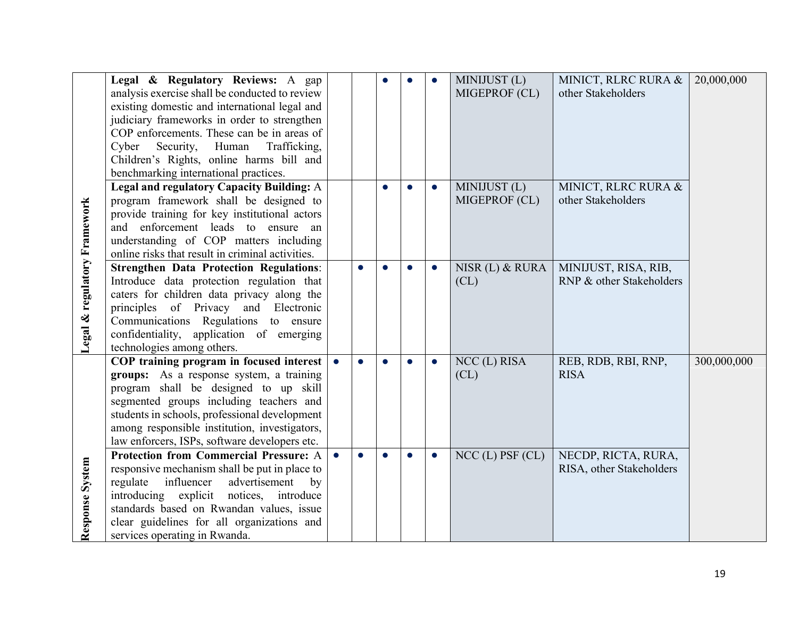|                              | Legal & Regulatory Reviews: A gap<br>analysis exercise shall be conducted to review<br>existing domestic and international legal and<br>judiciary frameworks in order to strengthen<br>COP enforcements. These can be in areas of<br>Cyber Security, Human<br>Trafficking,<br>Children's Rights, online harms bill and      |           | $\bullet$ | $\bullet$ | MINIJUST (L)<br>MIGEPROF (CL) | MINICT, RLRC RURA &<br>other Stakeholders        | 20,000,000  |
|------------------------------|-----------------------------------------------------------------------------------------------------------------------------------------------------------------------------------------------------------------------------------------------------------------------------------------------------------------------------|-----------|-----------|-----------|-------------------------------|--------------------------------------------------|-------------|
|                              | benchmarking international practices.<br>Legal and regulatory Capacity Building: A<br>program framework shall be designed to<br>provide training for key institutional actors<br>and enforcement leads to ensure an<br>understanding of COP matters including<br>online risks that result in criminal activities.           |           | $\bullet$ | $\bullet$ | MINIJUST (L)<br>MIGEPROF (CL) | MINICT, RLRC RURA &<br>other Stakeholders        |             |
| Legal & regulatory Framework | <b>Strengthen Data Protection Regulations:</b><br>Introduce data protection regulation that<br>caters for children data privacy along the<br>principles of Privacy and Electronic<br>Communications Regulations to ensure<br>confidentiality, application of emerging<br>technologies among others.                         |           | $\bullet$ | $\bullet$ | NISR (L) & RURA<br>CL)        | MINIJUST, RISA, RIB,<br>RNP & other Stakeholders |             |
|                              | COP training program in focused interest<br>groups: As a response system, a training<br>program shall be designed to up skill<br>segmented groups including teachers and<br>students in schools, professional development<br>among responsible institution, investigators,<br>law enforcers, ISPs, software developers etc. |           | $\bullet$ | $\bullet$ | NCC (L) RISA<br>CL)           | REB, RDB, RBI, RNP,<br><b>RISA</b>               | 300,000,000 |
| Response System              | Protection from Commercial Pressure: A<br>responsive mechanism shall be put in place to<br>influencer<br>advertisement<br>regulate<br>by<br>introducing explicit<br>notices, introduce<br>standards based on Rwandan values, issue<br>clear guidelines for all organizations and<br>services operating in Rwanda.           | $\bullet$ | $\bullet$ | $\bullet$ | $NCC$ (L) PSF (CL)            | NECDP, RICTA, RURA,<br>RISA, other Stakeholders  |             |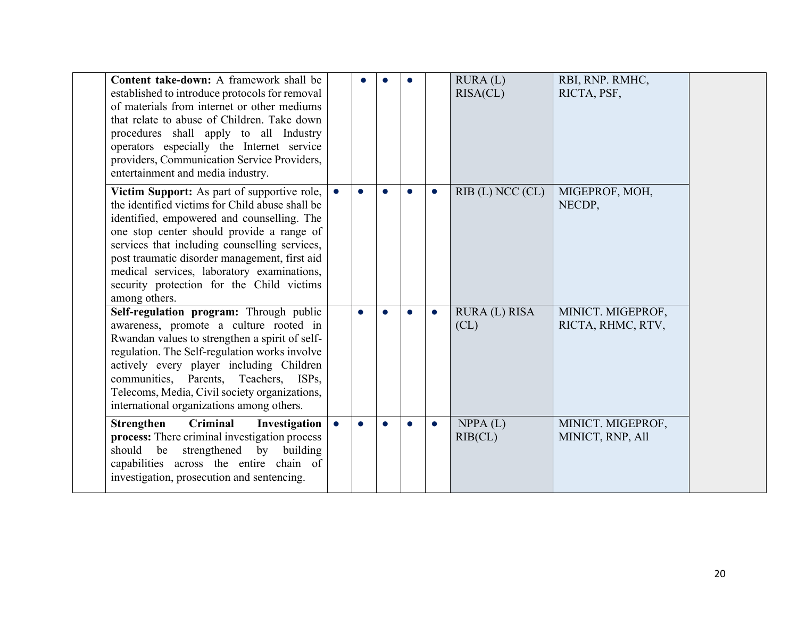| Content take-down: A framework shall be<br>established to introduce protocols for removal<br>of materials from internet or other mediums<br>that relate to abuse of Children. Take down<br>procedures shall apply to all Industry<br>operators especially the Internet service<br>providers, Communication Service Providers,<br>entertainment and media industry.                                      |           |           |           |           |           | RURA(L)<br>RISA(CL)  | RBI, RNP. RMHC,<br>RICTA, PSF,         |  |
|---------------------------------------------------------------------------------------------------------------------------------------------------------------------------------------------------------------------------------------------------------------------------------------------------------------------------------------------------------------------------------------------------------|-----------|-----------|-----------|-----------|-----------|----------------------|----------------------------------------|--|
| Victim Support: As part of supportive role,<br>the identified victims for Child abuse shall be<br>identified, empowered and counselling. The<br>one stop center should provide a range of<br>services that including counselling services,<br>post traumatic disorder management, first aid<br>medical services, laboratory examinations,<br>security protection for the Child victims<br>among others. |           | $\bullet$ | $\bullet$ | $\bullet$ | $\bullet$ | $RIB$ (L) NCC (CL)   | MIGEPROF, MOH,<br>NECDP,               |  |
| Self-regulation program: Through public<br>awareness, promote a culture rooted in<br>Rwandan values to strengthen a spirit of self-<br>regulation. The Self-regulation works involve<br>actively every player including Children<br>communities, Parents, Teachers, ISPs,<br>Telecoms, Media, Civil society organizations,<br>international organizations among others.                                 |           | $\bullet$ | $\bullet$ | $\bullet$ | $\bullet$ | RURA (L) RISA<br>CL) | MINICT. MIGEPROF,<br>RICTA, RHMC, RTV, |  |
| Criminal<br><b>Strengthen</b><br>Investigation<br>process: There criminal investigation process<br>strengthened by building<br>should be<br>capabilities across the entire chain of<br>investigation, prosecution and sentencing.                                                                                                                                                                       | $\bullet$ | $\bullet$ | $\bullet$ | $\bullet$ | $\bullet$ | NPPA(L)<br>RIB (CL)  | MINICT. MIGEPROF,<br>MINICT, RNP, All  |  |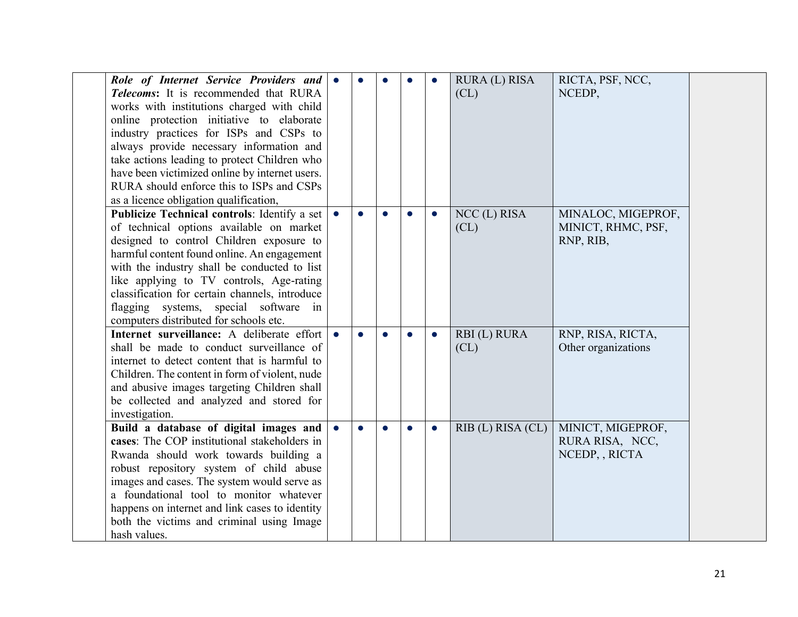| Role of Internet Service Providers and         | $\bullet$ |           | $\bullet$ | $\bullet$ | RURA (L) RISA         | RICTA, PSF, NCC,    |  |
|------------------------------------------------|-----------|-----------|-----------|-----------|-----------------------|---------------------|--|
| Telecoms: It is recommended that RURA          |           |           |           |           | CL)                   | NCEDP,              |  |
| works with institutions charged with child     |           |           |           |           |                       |                     |  |
| online protection initiative to elaborate      |           |           |           |           |                       |                     |  |
| industry practices for ISPs and CSPs to        |           |           |           |           |                       |                     |  |
| always provide necessary information and       |           |           |           |           |                       |                     |  |
| take actions leading to protect Children who   |           |           |           |           |                       |                     |  |
| have been victimized online by internet users. |           |           |           |           |                       |                     |  |
| RURA should enforce this to ISPs and CSPs      |           |           |           |           |                       |                     |  |
| as a licence obligation qualification,         |           |           |           |           |                       |                     |  |
| Publicize Technical controls: Identify a set   | $\bullet$ | $\bullet$ | $\bullet$ | $\bullet$ | NCC (L) RISA          | MINALOC, MIGEPROF,  |  |
| of technical options available on market       |           |           |           |           | CL)                   | MINICT, RHMC, PSF,  |  |
| designed to control Children exposure to       |           |           |           |           |                       | RNP, RIB,           |  |
| harmful content found online. An engagement    |           |           |           |           |                       |                     |  |
| with the industry shall be conducted to list   |           |           |           |           |                       |                     |  |
| like applying to TV controls, Age-rating       |           |           |           |           |                       |                     |  |
| classification for certain channels, introduce |           |           |           |           |                       |                     |  |
| flagging systems, special software in          |           |           |           |           |                       |                     |  |
| computers distributed for schools etc.         |           |           |           |           |                       |                     |  |
| Internet surveillance: A deliberate effort     |           | $\bullet$ | $\bullet$ | $\bullet$ | RBI(L) RURA           | RNP, RISA, RICTA,   |  |
| shall be made to conduct surveillance of       |           |           |           |           | CL)                   | Other organizations |  |
| internet to detect content that is harmful to  |           |           |           |           |                       |                     |  |
| Children. The content in form of violent, nude |           |           |           |           |                       |                     |  |
| and abusive images targeting Children shall    |           |           |           |           |                       |                     |  |
| be collected and analyzed and stored for       |           |           |           |           |                       |                     |  |
| investigation.                                 |           |           |           |           |                       |                     |  |
| Build a database of digital images and         | $\bullet$ | $\bullet$ | $\bullet$ | $\bullet$ | $RIB$ (L) $RISA$ (CL) | MINICT, MIGEPROF,   |  |
| cases: The COP institutional stakeholders in   |           |           |           |           |                       | RURA RISA, NCC,     |  |
| Rwanda should work towards building a          |           |           |           |           |                       | NCEDP, , RICTA      |  |
| robust repository system of child abuse        |           |           |           |           |                       |                     |  |
| images and cases. The system would serve as    |           |           |           |           |                       |                     |  |
| a foundational tool to monitor whatever        |           |           |           |           |                       |                     |  |
| happens on internet and link cases to identity |           |           |           |           |                       |                     |  |
| both the victims and criminal using Image      |           |           |           |           |                       |                     |  |
| hash values.                                   |           |           |           |           |                       |                     |  |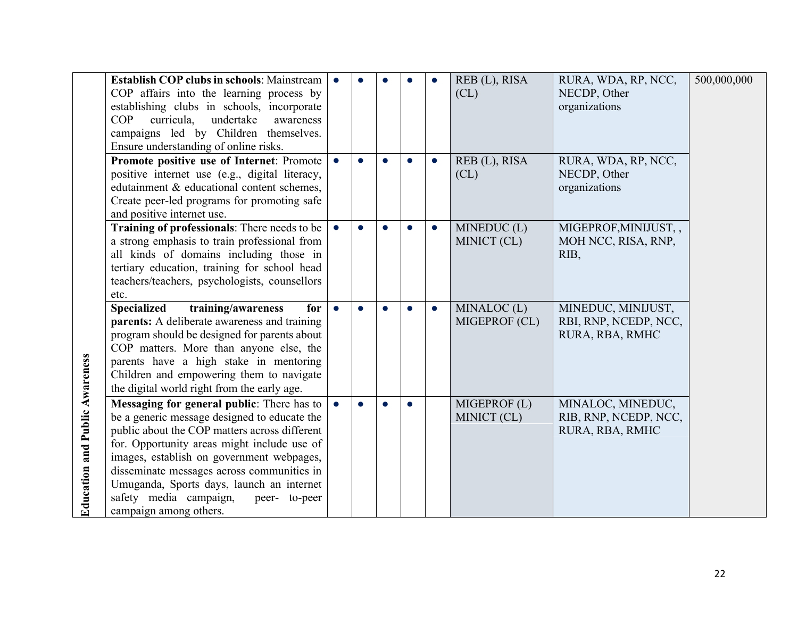|                                       | <b>Establish COP clubs in schools: Mainstream</b><br>COP affairs into the learning process by<br>establishing clubs in schools, incorporate<br>undertake<br>COP<br>curricula.<br>awareness<br>campaigns led by Children themselves.<br>Ensure understanding of online risks.                                                                                                                            |           |           |           |           |           | REB (L), RISA<br>CL)        | RURA, WDA, RP, NCC,<br>NECDP, Other<br>organizations           | 500,000,000 |
|---------------------------------------|---------------------------------------------------------------------------------------------------------------------------------------------------------------------------------------------------------------------------------------------------------------------------------------------------------------------------------------------------------------------------------------------------------|-----------|-----------|-----------|-----------|-----------|-----------------------------|----------------------------------------------------------------|-------------|
|                                       | Promote positive use of Internet: Promote<br>positive internet use (e.g., digital literacy,<br>edutainment & educational content schemes,<br>Create peer-led programs for promoting safe<br>and positive internet use.                                                                                                                                                                                  |           |           |           |           |           | REB (L), RISA<br>CL)        | RURA, WDA, RP, NCC,<br>NECDP, Other<br>organizations           |             |
|                                       | Training of professionals: There needs to be<br>a strong emphasis to train professional from<br>all kinds of domains including those in<br>tertiary education, training for school head<br>teachers/teachers, psychologists, counsellors<br>etc.                                                                                                                                                        |           | $\bullet$ | $\bullet$ |           | $\bullet$ | MINEDUC(L)<br>MINICT (CL)   | MIGEPROF, MINIJUST,<br>MOH NCC, RISA, RNP,<br>RIB,             |             |
|                                       | <b>Specialized</b><br>training/awareness<br>for<br>parents: A deliberate awareness and training<br>program should be designed for parents about<br>COP matters. More than anyone else, the<br>parents have a high stake in mentoring<br>Children and empowering them to navigate<br>the digital world right from the early age.                                                                         | $\bullet$ | $\bullet$ |           |           | $\bullet$ | MINALOC(L)<br>MIGEPROF (CL) | MINEDUC, MINIJUST,<br>RBI, RNP, NCEDP, NCC,<br>RURA, RBA, RMHC |             |
| <b>Education and Public Awareness</b> | Messaging for general public: There has to<br>be a generic message designed to educate the<br>public about the COP matters across different<br>for. Opportunity areas might include use of<br>images, establish on government webpages,<br>disseminate messages across communities in<br>Umuganda, Sports days, launch an internet<br>safety media campaign,<br>peer- to-peer<br>campaign among others. | $\bullet$ | $\bullet$ | Q         | $\bullet$ |           | MIGEPROF (L)<br>MINICT (CL) | MINALOC, MINEDUC,<br>RIB, RNP, NCEDP, NCC,<br>RURA, RBA, RMHC  |             |